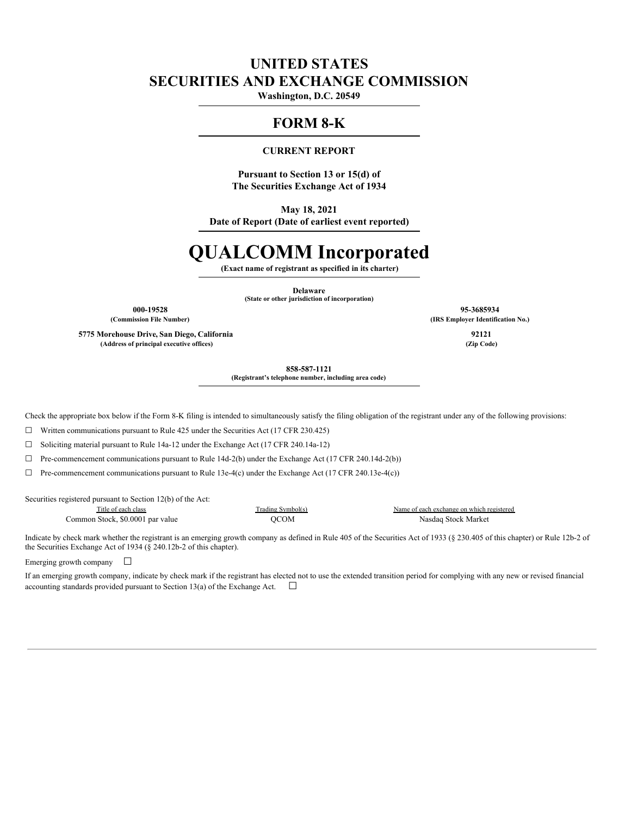## **UNITED STATES SECURITIES AND EXCHANGE COMMISSION**

**Washington, D.C. 20549**

## **FORM 8-K**

### **CURRENT REPORT**

**Pursuant to Section 13 or 15(d) of The Securities Exchange Act of 1934**

**May 18, 2021**

**Date of Report (Date of earliest event reported)**

# **QUALCOMM Incorporated**

**(Exact name of registrant as specified in its charter)**

**Delaware (State or other jurisdiction of incorporation)**

**5775 Morehouse Drive, San Diego, California 92121 (Address of principal executive offices) (Zip Code)**

**000-19528 95-3685934 (Commission File Number) (IRS Employer Identification No.)**

**858-587-1121**

**(Registrant's telephone number, including area code)**

Check the appropriate box below if the Form 8-K filing is intended to simultaneously satisfy the filing obligation of the registrant under any of the following provisions:

 $\Box$  Written communications pursuant to Rule 425 under the Securities Act (17 CFR 230.425)

☐ Soliciting material pursuant to Rule 14a-12 under the Exchange Act (17 CFR 240.14a-12)

☐ Pre-commencement communications pursuant to Rule 14d-2(b) under the Exchange Act (17 CFR 240.14d-2(b))

 $\Box$  Pre-commencement communications pursuant to Rule 13e-4(c) under the Exchange Act (17 CFR 240.13e-4(c))

Securities registered pursuant to Section 12(b) of the Act:

Title of each class Trading Symbol(s) Name of each exchange on which registered Common Stock, \$0.0001 par value  $QCOM$  Nasdaq Stock Market

Indicate by check mark whether the registrant is an emerging growth company as defined in Rule 405 of the Securities Act of 1933 (§ 230.405 of this chapter) or Rule 12b-2 of the Securities Exchange Act of 1934 (§ 240.12b-2 of this chapter).

Emerging growth company  $\Box$ 

If an emerging growth company, indicate by check mark if the registrant has elected not to use the extended transition period for complying with any new or revised financial accounting standards provided pursuant to Section 13(a) of the Exchange Act.  $\Box$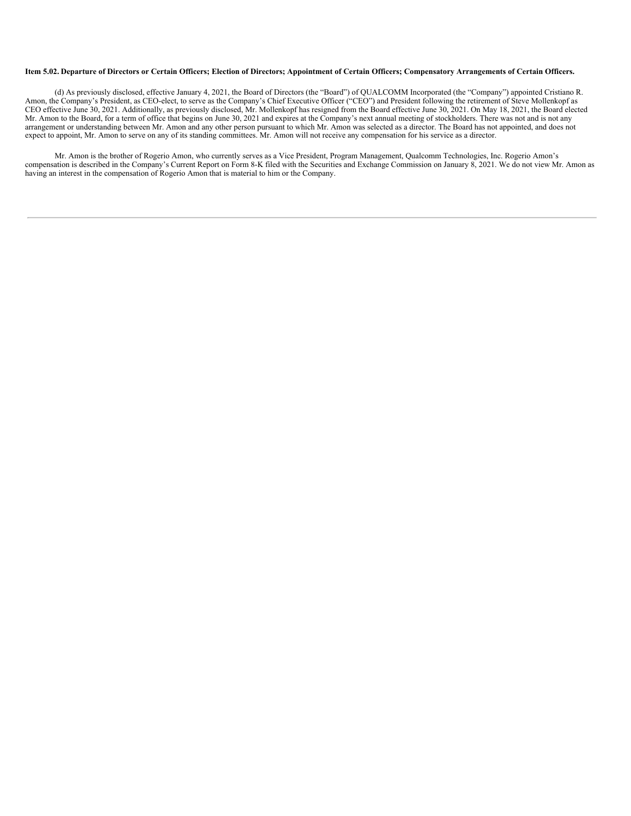### Item 5.02. Departure of Directors or Certain Officers; Election of Directors; Appointment of Certain Officers; Compensatory Arrangements of Certain Officers.

(d) As previously disclosed, effective January 4, 2021, the Board of Directors (the "Board") of QUALCOMM Incorporated (the "Company") appointed Cristiano R. Amon, the Company's President, as CEO-elect, to serve as the Company's Chief Executive Officer ("CEO") and President following the retirement of Steve Mollenkopf as CEO effective June 30, 2021. Additionally, as previously disclosed, Mr. Mollenkopf has resigned from the Board effective June 30, 2021. On May 18, 2021, the Board elected Mr. Amon to the Board, for a term of office that begins on June 30, 2021 and expires at the Company's next annual meeting of stockholders. There was not and is not any arrangement or understanding between Mr. Amon and any other person pursuant to which Mr. Amon was selected as a director. The Board has not appointed, and does not expect to appoint, Mr. Amon to serve on any of its standing committees. Mr. Amon will not receive any compensation for his service as a director.

Mr. Amon is the brother of Rogerio Amon, who currently serves as a Vice President, Program Management, Qualcomm Technologies, Inc. Rogerio Amon's compensation is described in the Company's Current Report on Form 8-K filed with the Securities and Exchange Commission on January 8, 2021. We do not view Mr. Amon as having an interest in the compensation of Rogerio Amon that is material to him or the Company.